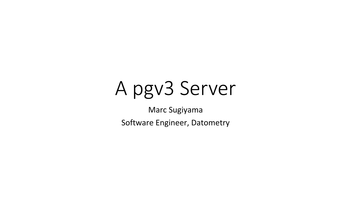# A pgv3 Server

Marc Sugiyama

Software Engineer, Datometry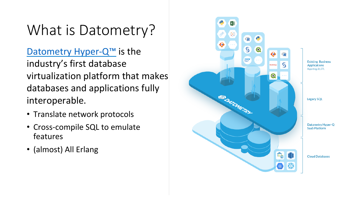# What is Datometry?

Datometry Hyper- $Q^{TM}$  is the industry's first database virtualization platform that makes databases and applications fully interoperable. 

- Translate network protocols
- Cross-compile SQL to emulate features
- (almost) All Erlang

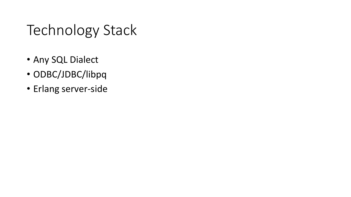# Technology Stack

- Any SQL Dialect
- ODBC/JDBC/libpq
- Erlang server-side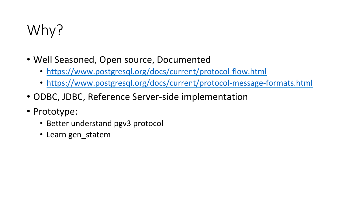# Why?

- Well Seasoned, Open source, Documented
	- https://www.postgresql.org/docs/current/protocol-flow.html
	- https://www.postgresql.org/docs/current/protocol-message-formats.html
- ODBC, JDBC, Reference Server-side implementation
- Prototype:
	- Better understand pgv3 protocol
	- Learn gen\_statem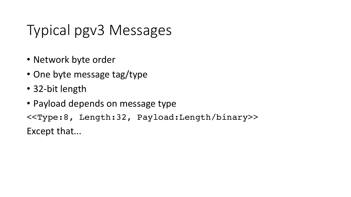# Typical pgv3 Messages

- Network byte order
- One byte message tag/type
- 32-bit length
- Payload depends on message type

<<Type:8, Length:32, Payload:Length/binary>> Except that...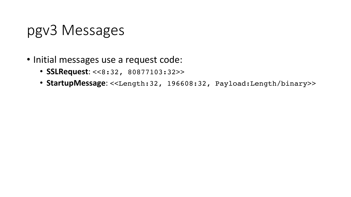# pgv3 Messages

- Initial messages use a request code:
	- **SSLRequest**: <<8:32, 80877103:32>>
	- StartupMessage: <<Length:32, 196608:32, Payload:Length/binary>>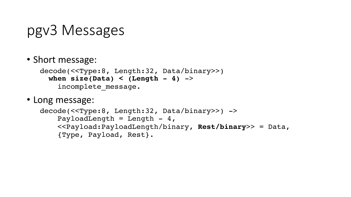# pgv3 Messages

#### • Short message:

```
decode(<<Type:8, Length:32, Data/binary>>)
  when size(Data) < (Length - 4) \rightarrowincomplete message.
```
• Long message:

```
decode(<<Type:8, Length:32, Data/binary>>) ->
    PayloadLength = Length - 4,
     <<Payload:PayloadLength/binary, Rest/binary>> = Data,
     {Type, Payload, Rest}.
```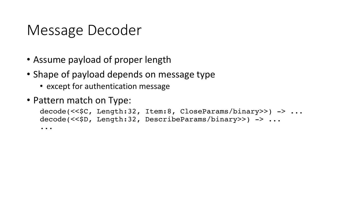# Message Decoder

- Assume payload of proper length
- Shape of payload depends on message type
	- except for authentication message
- Pattern match on Type:

```
decode(<<$C, Length:32, Item:8, CloseParams/binary>>) -> ...
decode(<<$D, Length:32, DescribeParams/binary>>) -> ...
...
```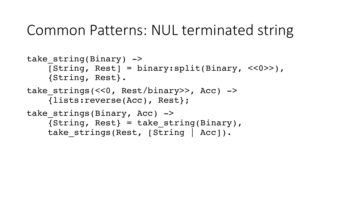#### Common Patterns: NUL terminated string

```
take string(Binary) \rightarrow[String, Rest] = binary:split(Binary, <a><<0>>), {String, Rest}.
take strings(<<0, Rest/binary>>, Acc) ->
     {lists:reverse(Acc), Rest};
take strings(Binary, Acc) ->
    {String, Rest} = take string(Binary),take strings(Rest, [String | Acc]).
```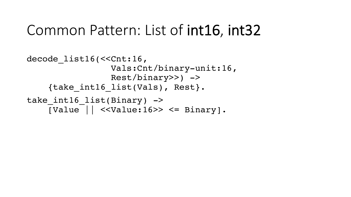#### Common Pattern: List of int16, int32

```
decode list16(<<Cnt:16,
                  Vals:Cnt/binary-unit:16,
                  Rest/binary>>) ->
     {take_int16_list(Vals), Rest}.
take int16 list(Binary) \rightarrow[Value | ] << Value:16>> <= Binary].
```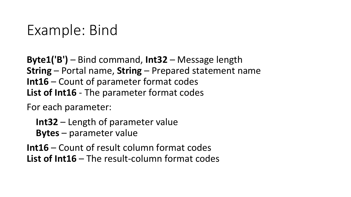# Example: Bind

**Byte1('B')** – Bind command, **Int32** – Message length **String** – Portal name, **String** – Prepared statement name **Int16** – Count of parameter format codes List of Int16 - The parameter format codes

For each parameter:

**Int32** – Length of parameter value **Bytes** – parameter value

**Int16** – Count of result column format codes **List of Int16** – The result-column format codes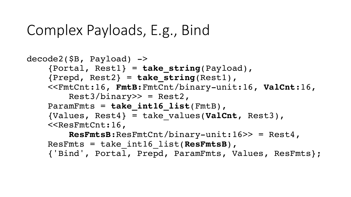# Complex Payloads, E.g., Bind

```
decode2(SB, Payload) ->
     {Portal, Rest1} = take_string(Payload),
     {Prepd, Rest2} = take_string(Rest1),
     <<FmtCnt:16, FmtB:FmtCnt/binary-unit:16, ValCnt:16,
        Rest3/binary>> = Rest2,
    ParamFmts = take int16 list(FmtB),
     {Values, Rest4} = take_values(ValCnt, Rest3),
     <<ResFmtCnt:16,
         ResFmtsB:ResFmtCnt/binary-unit:16>> = Rest4,
    ResFmts = take_int16_list(ResFmtsB),
     {'Bind', Portal, Prepd, ParamFmts, Values, ResFmts};
```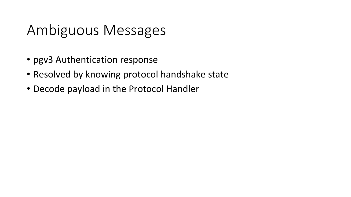# Ambiguous Messages

- pgv3 Authentication response
- Resolved by knowing protocol handshake state
- Decode payload in the Protocol Handler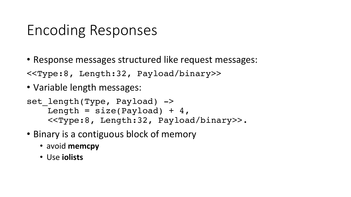# Encoding Responses

• Response messages structured like request messages:

<<Type:8, Length:32, Payload/binary>>

• Variable length messages:

```
set length(Type, Payload) ->
   Length = size(Payload) + 4,
     <<Type:8, Length:32, Payload/binary>>.
```
- Binary is a contiguous block of memory
	- avoid memcpy
	- Use **iolists**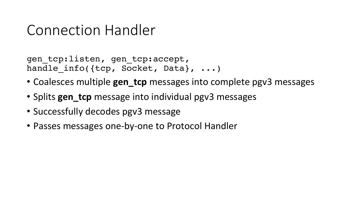#### Connection Handler

gen\_tcp:listen, gen\_tcp:accept, handle info({tcp, Socket, Data}, ...)

- Coalesces multiple **gen tcp** messages into complete pgv3 messages
- Splits **gen\_tcp** message into individual pgv3 messages
- Successfully decodes pgy3 message
- Passes messages one-by-one to Protocol Handler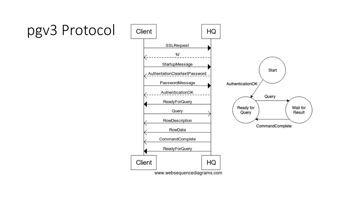# pgv3 Protocol

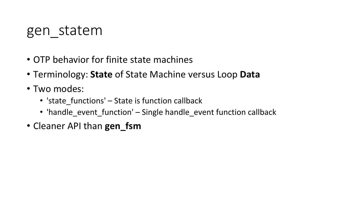#### gen\_statem

- OTP behavior for finite state machines
- Terminology: State of State Machine versus Loop Data
- Two modes:
	- 'state\_functions' State is function callback
	- 'handle\_event\_function' Single handle\_event function callback
- Cleaner API than **gen\_fsm**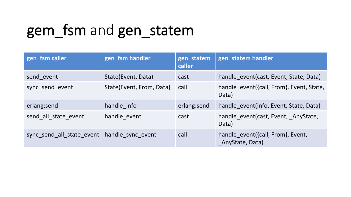# gem\_fsm and gen\_statem

| gen_fsm caller                              | gen_fsm handler          | gen_statem<br>caller | gen_statem handler                                   |
|---------------------------------------------|--------------------------|----------------------|------------------------------------------------------|
| send event                                  | State(Event, Data)       | cast                 | handle event (cast, Event, State, Data)              |
| sync send event                             | State(Event, From, Data) | call                 | handle event({call, From}, Event, State,<br>Data)    |
| erlang:send                                 | handle info              | erlang:send          | handle event(info, Event, State, Data)               |
| send all state event                        | handle event             | cast                 | handle event(cast, Event, AnyState,<br>Data)         |
| sync send all state event handle sync event |                          | call                 | handle event({call, From}, Event,<br>AnyState, Data) |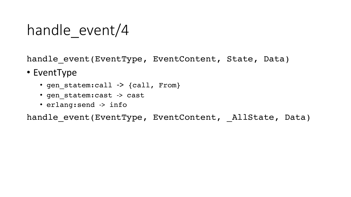# handle event/4

handle event(EventType, EventContent, State, Data)

- EventType
	- gen\_statem:call -> {call, From}
	- gen\_statem:cast -> cast
	- erlang:send -> info

handle event(EventType, EventContent, AllState, Data)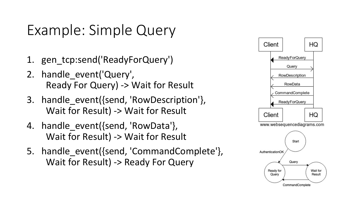# Example: Simple Query

- 1. gen\_tcp:send('ReadyForQuery')
- 2. handle\_event('Query', Ready For Query) -> Wait for Result
- 3. handle event({send, 'RowDescription'}, Wait for Result) -> Wait for Result
- 4. handle event({send, 'RowData'}, Wait for Result) -> Wait for Result
- 5. handle event({send, 'CommandComplete'}, Wait for Result) -> Ready For Query

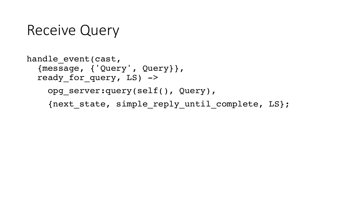#### Receive Query

```
handle event(cast,
   {message, {'Query', Query}},
  ready for query, LS) ->
    opg_server:query(self(), Query),
     {next_state, simple_reply_until_complete, LS};
```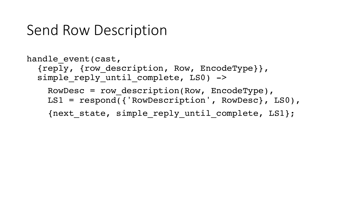#### Send Row Description

```
handle event(cast,
   {reply, {row_description, Row, EncodeType}},
  simple reply until complete, LS0) \rightarrowRowDesc = row_description(Row, EncodeType),
     LS1 = respond({'RowDescription', RowDesc}, LS0),
     {next_state, simple_reply_until_complete, LS1};
```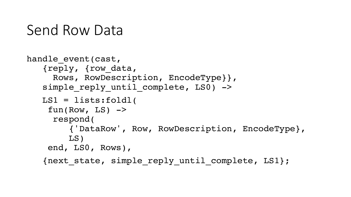#### Send Row Data

```
handle event(cast,
    {reply, {row_data,
      Rows, RowDescription, EncodeType}},
   simple reply until complete, LSO) \rightarrow   LS1 = lists:foldl(
    fun(Row, LS) \rightarrow   respond(
          {'DataRow', Row, RowDescription, EncodeType},
         LS)
     end, LS0, Rows),
    {next_state, simple_reply_until_complete, LS1};
```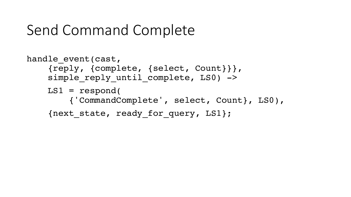# Send Command Complete

```
handle event(cast,
     {reply, {complete, {select, Count}}},
    simple reply until complete, LSO) \rightarrow LS1 = respond(
         {'CommandComplete', select, Count}, LS0),
     {next_state, ready_for_query, LS1};
```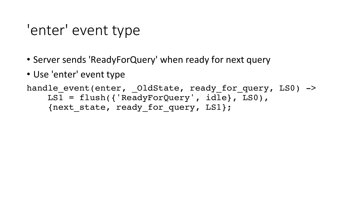# 'enter' event type

- Server sends 'ReadyForQuery' when ready for next query
- Use 'enter' event type

handle event(enter, OldState, ready for query, LS0)  $\rightarrow$  LS1 = flush({'ReadyForQuery', idle}, LS0), {next\_state, ready\_for\_query, LS1};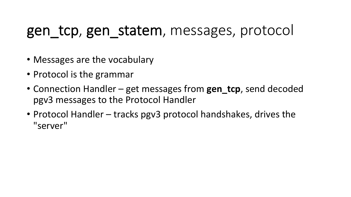#### gen\_tcp, gen\_statem, messages, protocol

- Messages are the vocabulary
- Protocol is the grammar
- Connection Handler get messages from gen\_tcp, send decoded pgv3 messages to the Protocol Handler
- Protocol Handler tracks pgv3 protocol handshakes, drives the "server"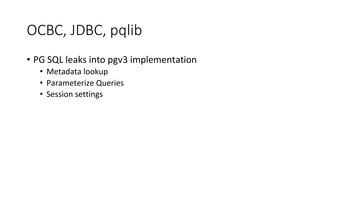# OCBC, JDBC, pqlib

- PG SQL leaks into pgv3 implementation
	- Metadata lookup
	- Parameterize Queries
	- Session settings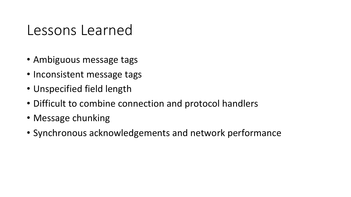#### Lessons Learned

- Ambiguous message tags
- Inconsistent message tags
- Unspecified field length
- Difficult to combine connection and protocol handlers
- Message chunking
- Synchronous acknowledgements and network performance